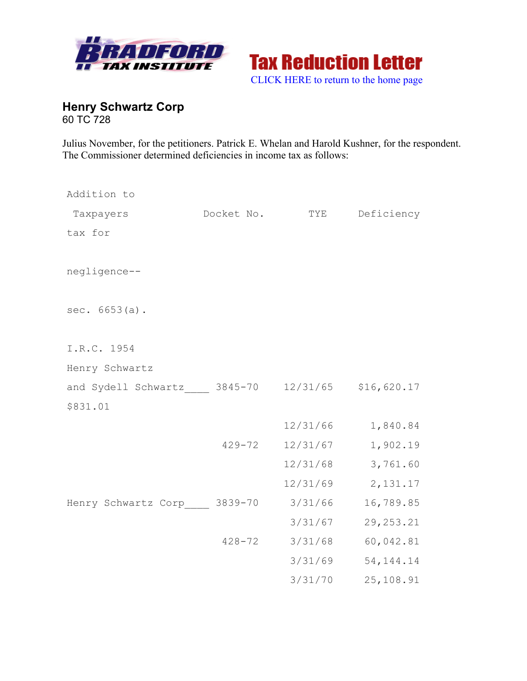



**Henry Schwartz Corp** 60 TC 728

Julius November, for the petitioners. Patrick E. Whelan and Harold Kushner, for the respondent. The Commissioner determined deficiencies in income tax as follows:

| Addition to                                      |            |          |             |
|--------------------------------------------------|------------|----------|-------------|
| Taxpayers                                        | Docket No. | TYE      | Deficiency  |
| tax for                                          |            |          |             |
| negligence--                                     |            |          |             |
| sec. 6653(a).                                    |            |          |             |
| I.R.C. 1954                                      |            |          |             |
| Henry Schwartz                                   |            |          |             |
| and Sydell Schwartz 3845-70 12/31/65 \$16,620.17 |            |          |             |
| \$831.01                                         |            |          |             |
|                                                  |            | 12/31/66 | 1,840.84    |
|                                                  | $429 - 72$ | 12/31/67 | 1,902.19    |
|                                                  |            | 12/31/68 | 3,761.60    |
|                                                  |            | 12/31/69 | 2,131.17    |
| Henry Schwartz Corp 3839-70                      |            | 3/31/66  | 16,789.85   |
|                                                  |            | 3/31/67  | 29, 253. 21 |
|                                                  | $428 - 72$ | 3/31/68  | 60,042.81   |
|                                                  |            | 3/31/69  | 54, 144. 14 |
|                                                  |            | 3/31/70  | 25,108.91   |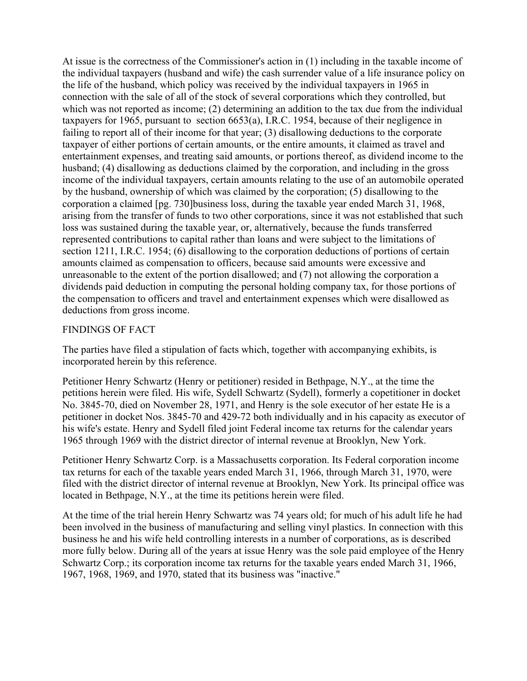At issue is the correctness of the Commissioner's action in (1) including in the taxable income of the individual taxpayers (husband and wife) the cash surrender value of a life insurance policy on the life of the husband, which policy was received by the individual taxpayers in 1965 in connection with the sale of all of the stock of several corporations which they controlled, but which was not reported as income; (2) determining an addition to the tax due from the individual taxpayers for 1965, pursuant to section 6653(a), I.R.C. 1954, because of their negligence in failing to report all of their income for that year; (3) disallowing deductions to the corporate taxpayer of either portions of certain amounts, or the entire amounts, it claimed as travel and entertainment expenses, and treating said amounts, or portions thereof, as dividend income to the husband; (4) disallowing as deductions claimed by the corporation, and including in the gross income of the individual taxpayers, certain amounts relating to the use of an automobile operated by the husband, ownership of which was claimed by the corporation; (5) disallowing to the corporation a claimed [pg. 730]business loss, during the taxable year ended March 31, 1968, arising from the transfer of funds to two other corporations, since it was not established that such loss was sustained during the taxable year, or, alternatively, because the funds transferred represented contributions to capital rather than loans and were subject to the limitations of section 1211, I.R.C. 1954; (6) disallowing to the corporation deductions of portions of certain amounts claimed as compensation to officers, because said amounts were excessive and unreasonable to the extent of the portion disallowed; and (7) not allowing the corporation a dividends paid deduction in computing the personal holding company tax, for those portions of the compensation to officers and travel and entertainment expenses which were disallowed as deductions from gross income.

# FINDINGS OF FACT

The parties have filed a stipulation of facts which, together with accompanying exhibits, is incorporated herein by this reference.

Petitioner Henry Schwartz (Henry or petitioner) resided in Bethpage, N.Y., at the time the petitions herein were filed. His wife, Sydell Schwartz (Sydell), formerly a copetitioner in docket No. 3845-70, died on November 28, 1971, and Henry is the sole executor of her estate He is a petitioner in docket Nos. 3845-70 and 429-72 both individually and in his capacity as executor of his wife's estate. Henry and Sydell filed joint Federal income tax returns for the calendar years 1965 through 1969 with the district director of internal revenue at Brooklyn, New York.

Petitioner Henry Schwartz Corp. is a Massachusetts corporation. Its Federal corporation income tax returns for each of the taxable years ended March 31, 1966, through March 31, 1970, were filed with the district director of internal revenue at Brooklyn, New York. Its principal office was located in Bethpage, N.Y., at the time its petitions herein were filed.

At the time of the trial herein Henry Schwartz was 74 years old; for much of his adult life he had been involved in the business of manufacturing and selling vinyl plastics. In connection with this business he and his wife held controlling interests in a number of corporations, as is described more fully below. During all of the years at issue Henry was the sole paid employee of the Henry Schwartz Corp.; its corporation income tax returns for the taxable years ended March 31, 1966, 1967, 1968, 1969, and 1970, stated that its business was "inactive."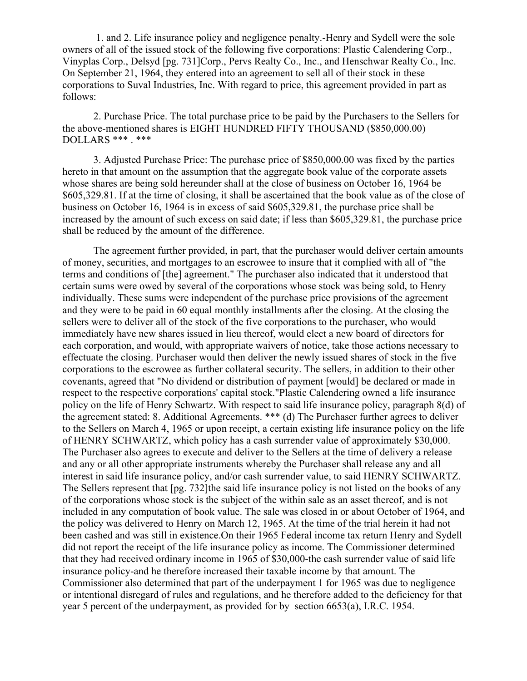1. and 2. Life insurance policy and negligence penalty.-Henry and Sydell were the sole owners of all of the issued stock of the following five corporations: Plastic Calendering Corp., Vinyplas Corp., Delsyd [pg. 731]Corp., Pervs Realty Co., Inc., and Henschwar Realty Co., Inc. On September 21, 1964, they entered into an agreement to sell all of their stock in these corporations to Suval Industries, Inc. With regard to price, this agreement provided in part as follows:

2. Purchase Price. The total purchase price to be paid by the Purchasers to the Sellers for the above-mentioned shares is EIGHT HUNDRED FIFTY THOUSAND (\$850,000.00) DOLLARS \*\*\* . \*\*\*

3. Adjusted Purchase Price: The purchase price of \$850,000.00 was fixed by the parties hereto in that amount on the assumption that the aggregate book value of the corporate assets whose shares are being sold hereunder shall at the close of business on October 16, 1964 be \$605,329.81. If at the time of closing, it shall be ascertained that the book value as of the close of business on October 16, 1964 is in excess of said \$605,329.81, the purchase price shall be increased by the amount of such excess on said date; if less than \$605,329.81, the purchase price shall be reduced by the amount of the difference.

The agreement further provided, in part, that the purchaser would deliver certain amounts of money, securities, and mortgages to an escrowee to insure that it complied with all of "the terms and conditions of [the] agreement." The purchaser also indicated that it understood that certain sums were owed by several of the corporations whose stock was being sold, to Henry individually. These sums were independent of the purchase price provisions of the agreement and they were to be paid in 60 equal monthly installments after the closing. At the closing the sellers were to deliver all of the stock of the five corporations to the purchaser, who would immediately have new shares issued in lieu thereof, would elect a new board of directors for each corporation, and would, with appropriate waivers of notice, take those actions necessary to effectuate the closing. Purchaser would then deliver the newly issued shares of stock in the five corporations to the escrowee as further collateral security. The sellers, in addition to their other covenants, agreed that "No dividend or distribution of payment [would] be declared or made in respect to the respective corporations' capital stock."Plastic Calendering owned a life insurance policy on the life of Henry Schwartz. With respect to said life insurance policy, paragraph 8(d) of the agreement stated: 8. Additional Agreements. \*\*\* (d) The Purchaser further agrees to deliver to the Sellers on March 4, 1965 or upon receipt, a certain existing life insurance policy on the life of HENRY SCHWARTZ, which policy has a cash surrender value of approximately \$30,000. The Purchaser also agrees to execute and deliver to the Sellers at the time of delivery a release and any or all other appropriate instruments whereby the Purchaser shall release any and all interest in said life insurance policy, and/or cash surrender value, to said HENRY SCHWARTZ. The Sellers represent that [pg. 732]the said life insurance policy is not listed on the books of any of the corporations whose stock is the subject of the within sale as an asset thereof, and is not included in any computation of book value. The sale was closed in or about October of 1964, and the policy was delivered to Henry on March 12, 1965. At the time of the trial herein it had not been cashed and was still in existence.On their 1965 Federal income tax return Henry and Sydell did not report the receipt of the life insurance policy as income. The Commissioner determined that they had received ordinary income in 1965 of \$30,000-the cash surrender value of said life insurance policy-and he therefore increased their taxable income by that amount. The Commissioner also determined that part of the underpayment 1 for 1965 was due to negligence or intentional disregard of rules and regulations, and he therefore added to the deficiency for that year 5 percent of the underpayment, as provided for by section 6653(a), I.R.C. 1954.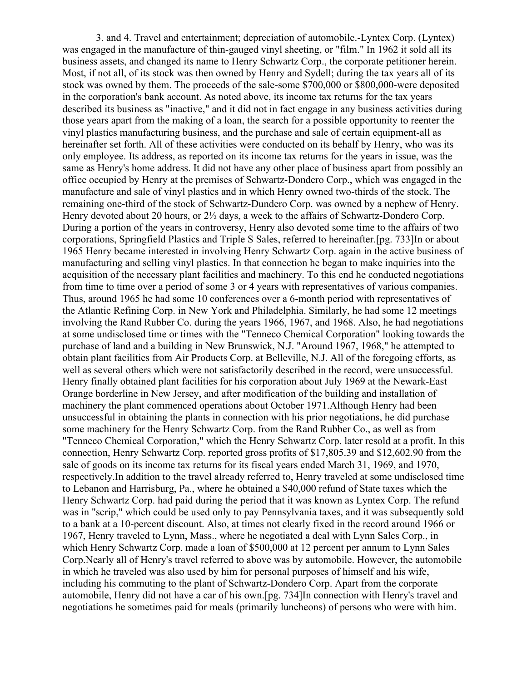3. and 4. Travel and entertainment; depreciation of automobile.-Lyntex Corp. (Lyntex) was engaged in the manufacture of thin-gauged vinyl sheeting, or "film." In 1962 it sold all its business assets, and changed its name to Henry Schwartz Corp., the corporate petitioner herein. Most, if not all, of its stock was then owned by Henry and Sydell; during the tax years all of its stock was owned by them. The proceeds of the sale-some \$700,000 or \$800,000-were deposited in the corporation's bank account. As noted above, its income tax returns for the tax years described its business as "inactive," and it did not in fact engage in any business activities during those years apart from the making of a loan, the search for a possible opportunity to reenter the vinyl plastics manufacturing business, and the purchase and sale of certain equipment-all as hereinafter set forth. All of these activities were conducted on its behalf by Henry, who was its only employee. Its address, as reported on its income tax returns for the years in issue, was the same as Henry's home address. It did not have any other place of business apart from possibly an office occupied by Henry at the premises of Schwartz-Dondero Corp., which was engaged in the manufacture and sale of vinyl plastics and in which Henry owned two-thirds of the stock. The remaining one-third of the stock of Schwartz-Dundero Corp. was owned by a nephew of Henry. Henry devoted about 20 hours, or  $2\frac{1}{2}$  days, a week to the affairs of Schwartz-Dondero Corp. During a portion of the years in controversy, Henry also devoted some time to the affairs of two corporations, Springfield Plastics and Triple S Sales, referred to hereinafter.[pg. 733]In or about 1965 Henry became interested in involving Henry Schwartz Corp. again in the active business of manufacturing and selling vinyl plastics. In that connection he began to make inquiries into the acquisition of the necessary plant facilities and machinery. To this end he conducted negotiations from time to time over a period of some 3 or 4 years with representatives of various companies. Thus, around 1965 he had some 10 conferences over a 6-month period with representatives of the Atlantic Refining Corp. in New York and Philadelphia. Similarly, he had some 12 meetings involving the Rand Rubber Co. during the years 1966, 1967, and 1968. Also, he had negotiations at some undisclosed time or times with the "Tenneco Chemical Corporation" looking towards the purchase of land and a building in New Brunswick, N.J. "Around 1967, 1968," he attempted to obtain plant facilities from Air Products Corp. at Belleville, N.J. All of the foregoing efforts, as well as several others which were not satisfactorily described in the record, were unsuccessful. Henry finally obtained plant facilities for his corporation about July 1969 at the Newark-East Orange borderline in New Jersey, and after modification of the building and installation of machinery the plant commenced operations about October 1971.Although Henry had been unsuccessful in obtaining the plants in connection with his prior negotiations, he did purchase some machinery for the Henry Schwartz Corp. from the Rand Rubber Co., as well as from "Tenneco Chemical Corporation," which the Henry Schwartz Corp. later resold at a profit. In this connection, Henry Schwartz Corp. reported gross profits of \$17,805.39 and \$12,602.90 from the sale of goods on its income tax returns for its fiscal years ended March 31, 1969, and 1970, respectively.In addition to the travel already referred to, Henry traveled at some undisclosed time to Lebanon and Harrisburg, Pa., where he obtained a \$40,000 refund of State taxes which the Henry Schwartz Corp. had paid during the period that it was known as Lyntex Corp. The refund was in "scrip," which could be used only to pay Pennsylvania taxes, and it was subsequently sold to a bank at a 10-percent discount. Also, at times not clearly fixed in the record around 1966 or 1967, Henry traveled to Lynn, Mass., where he negotiated a deal with Lynn Sales Corp., in which Henry Schwartz Corp. made a loan of \$500,000 at 12 percent per annum to Lynn Sales Corp.Nearly all of Henry's travel referred to above was by automobile. However, the automobile in which he traveled was also used by him for personal purposes of himself and his wife, including his commuting to the plant of Schwartz-Dondero Corp. Apart from the corporate automobile, Henry did not have a car of his own.[pg. 734]In connection with Henry's travel and negotiations he sometimes paid for meals (primarily luncheons) of persons who were with him.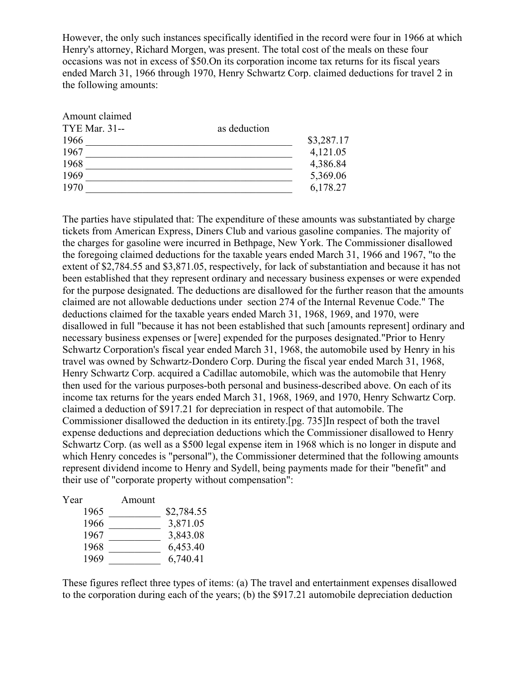However, the only such instances specifically identified in the record were four in 1966 at which Henry's attorney, Richard Morgen, was present. The total cost of the meals on these four occasions was not in excess of \$50.On its corporation income tax returns for its fiscal years ended March 31, 1966 through 1970, Henry Schwartz Corp. claimed deductions for travel 2 in the following amounts:

| as deduction |            |
|--------------|------------|
|              | \$3,287.17 |
|              | 4,121.05   |
|              | 4,386.84   |
|              | 5,369.06   |
|              | 6,178.27   |
|              |            |

The parties have stipulated that: The expenditure of these amounts was substantiated by charge tickets from American Express, Diners Club and various gasoline companies. The majority of the charges for gasoline were incurred in Bethpage, New York. The Commissioner disallowed the foregoing claimed deductions for the taxable years ended March 31, 1966 and 1967, "to the extent of \$2,784.55 and \$3,871.05, respectively, for lack of substantiation and because it has not been established that they represent ordinary and necessary business expenses or were expended for the purpose designated. The deductions are disallowed for the further reason that the amounts claimed are not allowable deductions under section 274 of the Internal Revenue Code." The deductions claimed for the taxable years ended March 31, 1968, 1969, and 1970, were disallowed in full "because it has not been established that such [amounts represent] ordinary and necessary business expenses or [were] expended for the purposes designated."Prior to Henry Schwartz Corporation's fiscal year ended March 31, 1968, the automobile used by Henry in his travel was owned by Schwartz-Dondero Corp. During the fiscal year ended March 31, 1968, Henry Schwartz Corp. acquired a Cadillac automobile, which was the automobile that Henry then used for the various purposes-both personal and business-described above. On each of its income tax returns for the years ended March 31, 1968, 1969, and 1970, Henry Schwartz Corp. claimed a deduction of \$917.21 for depreciation in respect of that automobile. The Commissioner disallowed the deduction in its entirety.[pg. 735]In respect of both the travel expense deductions and depreciation deductions which the Commissioner disallowed to Henry Schwartz Corp. (as well as a \$500 legal expense item in 1968 which is no longer in dispute and which Henry concedes is "personal"), the Commissioner determined that the following amounts represent dividend income to Henry and Sydell, being payments made for their "benefit" and their use of "corporate property without compensation":

| Year | Amount |            |
|------|--------|------------|
| 1965 |        | \$2,784.55 |
| 1966 |        | 3,871.05   |
| 1967 |        | 3,843.08   |
| 1968 |        | 6,453.40   |
| 1969 |        | 6,740.41   |

These figures reflect three types of items: (a) The travel and entertainment expenses disallowed to the corporation during each of the years; (b) the \$917.21 automobile depreciation deduction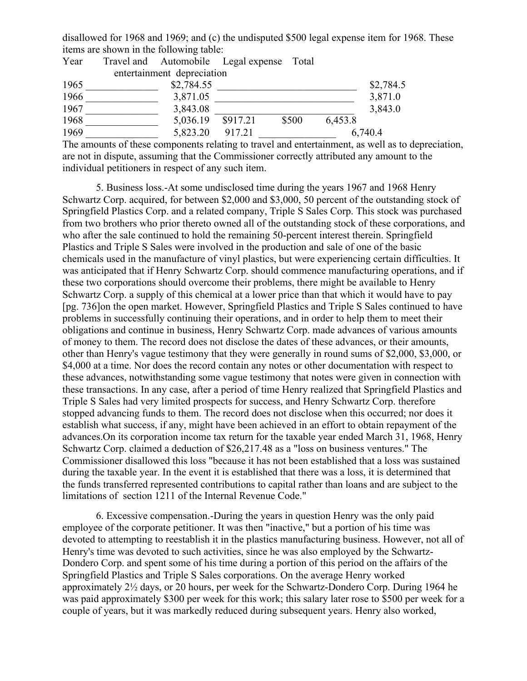disallowed for 1968 and 1969; and (c) the undisputed \$500 legal expense item for 1968. These items are shown in the following table:

| Year | Travel and Automobile Legal expense Total |          |       |         |           |
|------|-------------------------------------------|----------|-------|---------|-----------|
|      | entertainment depreciation                |          |       |         |           |
| 1965 | \$2,784.55                                |          |       |         | \$2,784.5 |
| 1966 | 3,871.05                                  |          |       |         | 3,871.0   |
| 1967 | 3,843.08                                  |          |       |         | 3,843.0   |
| 1968 | 5,036.19                                  | \$917.21 | \$500 | 6,453.8 |           |
| 1969 | 5,823.20                                  | 917.21   |       |         | 6,740.4   |

The amounts of these components relating to travel and entertainment, as well as to depreciation, are not in dispute, assuming that the Commissioner correctly attributed any amount to the individual petitioners in respect of any such item.

5. Business loss.-At some undisclosed time during the years 1967 and 1968 Henry Schwartz Corp. acquired, for between \$2,000 and \$3,000, 50 percent of the outstanding stock of Springfield Plastics Corp. and a related company, Triple S Sales Corp. This stock was purchased from two brothers who prior thereto owned all of the outstanding stock of these corporations, and who after the sale continued to hold the remaining 50-percent interest therein. Springfield Plastics and Triple S Sales were involved in the production and sale of one of the basic chemicals used in the manufacture of vinyl plastics, but were experiencing certain difficulties. It was anticipated that if Henry Schwartz Corp. should commence manufacturing operations, and if these two corporations should overcome their problems, there might be available to Henry Schwartz Corp. a supply of this chemical at a lower price than that which it would have to pay [pg. 736]on the open market. However, Springfield Plastics and Triple S Sales continued to have problems in successfully continuing their operations, and in order to help them to meet their obligations and continue in business, Henry Schwartz Corp. made advances of various amounts of money to them. The record does not disclose the dates of these advances, or their amounts, other than Henry's vague testimony that they were generally in round sums of \$2,000, \$3,000, or \$4,000 at a time. Nor does the record contain any notes or other documentation with respect to these advances, notwithstanding some vague testimony that notes were given in connection with these transactions. In any case, after a period of time Henry realized that Springfield Plastics and Triple S Sales had very limited prospects for success, and Henry Schwartz Corp. therefore stopped advancing funds to them. The record does not disclose when this occurred; nor does it establish what success, if any, might have been achieved in an effort to obtain repayment of the advances.On its corporation income tax return for the taxable year ended March 31, 1968, Henry Schwartz Corp. claimed a deduction of \$26,217.48 as a "loss on business ventures." The Commissioner disallowed this loss "because it has not been established that a loss was sustained during the taxable year. In the event it is established that there was a loss, it is determined that the funds transferred represented contributions to capital rather than loans and are subject to the limitations of section 1211 of the Internal Revenue Code."

6. Excessive compensation.-During the years in question Henry was the only paid employee of the corporate petitioner. It was then "inactive," but a portion of his time was devoted to attempting to reestablish it in the plastics manufacturing business. However, not all of Henry's time was devoted to such activities, since he was also employed by the Schwartz-Dondero Corp. and spent some of his time during a portion of this period on the affairs of the Springfield Plastics and Triple S Sales corporations. On the average Henry worked approximately 2½ days, or 20 hours, per week for the Schwartz-Dondero Corp. During 1964 he was paid approximately \$300 per week for this work; this salary later rose to \$500 per week for a couple of years, but it was markedly reduced during subsequent years. Henry also worked,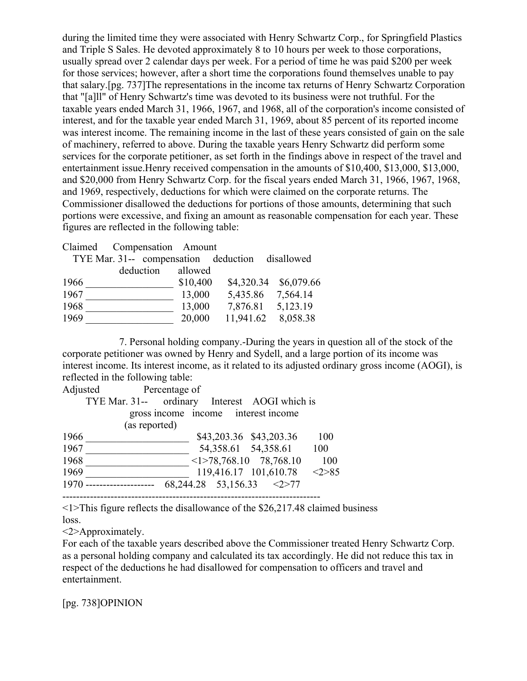during the limited time they were associated with Henry Schwartz Corp., for Springfield Plastics and Triple S Sales. He devoted approximately 8 to 10 hours per week to those corporations, usually spread over 2 calendar days per week. For a period of time he was paid \$200 per week for those services; however, after a short time the corporations found themselves unable to pay that salary.[pg. 737]The representations in the income tax returns of Henry Schwartz Corporation that "[a]ll" of Henry Schwartz's time was devoted to its business were not truthful. For the taxable years ended March 31, 1966, 1967, and 1968, all of the corporation's income consisted of interest, and for the taxable year ended March 31, 1969, about 85 percent of its reported income was interest income. The remaining income in the last of these years consisted of gain on the sale of machinery, referred to above. During the taxable years Henry Schwartz did perform some services for the corporate petitioner, as set forth in the findings above in respect of the travel and entertainment issue.Henry received compensation in the amounts of \$10,400, \$13,000, \$13,000, and \$20,000 from Henry Schwartz Corp. for the fiscal years ended March 31, 1966, 1967, 1968, and 1969, respectively, deductions for which were claimed on the corporate returns. The Commissioner disallowed the deductions for portions of those amounts, determining that such portions were excessive, and fixing an amount as reasonable compensation for each year. These figures are reflected in the following table:

Claimed Compensation Amount

|      | TYE Mar. 31-- compensation deduction disallowed |           |          |            |            |
|------|-------------------------------------------------|-----------|----------|------------|------------|
|      |                                                 | deduction | allowed  |            |            |
| 1966 |                                                 |           | \$10,400 | \$4,320.34 | \$6,079.66 |
| 1967 |                                                 |           | 13,000   | 5,435.86   | 7,564.14   |
| 1968 |                                                 |           | 13,000   | 7,876.81   | 5,123.19   |
| 1969 |                                                 |           | 20,000   | 11,941.62  | 8,058.38   |

 7. Personal holding company.-During the years in question all of the stock of the corporate petitioner was owned by Henry and Sydell, and a large portion of its income was interest income. Its interest income, as it related to its adjusted ordinary gross income (AOGI), is reflected in the following table:

| Adjusted | Percentage of                                 |                                     |                                     |                              |       |
|----------|-----------------------------------------------|-------------------------------------|-------------------------------------|------------------------------|-------|
|          | TYE Mar. 31-- ordinary Interest AOGI which is |                                     |                                     |                              |       |
|          | (as reported)                                 | gross income income interest income |                                     |                              |       |
| 1966     |                                               |                                     | \$43,203.36 \$43,203.36             |                              | 100   |
| 1967     |                                               |                                     | 54,358.61 54,358.61                 |                              | 100   |
| 1968     |                                               |                                     |                                     | $\leq$ 1>78,768.10 78,768.10 | 100   |
| 1969     |                                               |                                     | 119,416.17 101,610.78               |                              | <2>85 |
| 1970     | ---------------                               |                                     | $68,244.28$ $53,156.33$ $\leq$ 2>77 |                              |       |
|          |                                               |                                     |                                     |                              |       |

<1>This figure reflects the disallowance of the \$26,217.48 claimed business loss.

<2>Approximately.

For each of the taxable years described above the Commissioner treated Henry Schwartz Corp. as a personal holding company and calculated its tax accordingly. He did not reduce this tax in respect of the deductions he had disallowed for compensation to officers and travel and entertainment.

[pg. 738]OPINION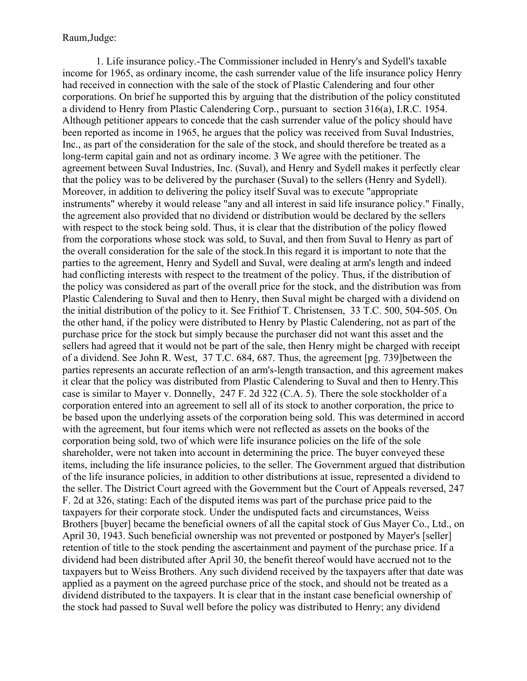Raum,Judge:

1. Life insurance policy.-The Commissioner included in Henry's and Sydell's taxable income for 1965, as ordinary income, the cash surrender value of the life insurance policy Henry had received in connection with the sale of the stock of Plastic Calendering and four other corporations. On brief he supported this by arguing that the distribution of the policy constituted a dividend to Henry from Plastic Calendering Corp., pursuant to section 316(a), I.R.C. 1954. Although petitioner appears to concede that the cash surrender value of the policy should have been reported as income in 1965, he argues that the policy was received from Suval Industries, Inc., as part of the consideration for the sale of the stock, and should therefore be treated as a long-term capital gain and not as ordinary income. 3 We agree with the petitioner. The agreement between Suval Industries, Inc. (Suval), and Henry and Sydell makes it perfectly clear that the policy was to be delivered by the purchaser (Suval) to the sellers (Henry and Sydell). Moreover, in addition to delivering the policy itself Suval was to execute "appropriate instruments" whereby it would release "any and all interest in said life insurance policy." Finally, the agreement also provided that no dividend or distribution would be declared by the sellers with respect to the stock being sold. Thus, it is clear that the distribution of the policy flowed from the corporations whose stock was sold, to Suval, and then from Suval to Henry as part of the overall consideration for the sale of the stock.In this regard it is important to note that the parties to the agreement, Henry and Sydell and Suval, were dealing at arm's length and indeed had conflicting interests with respect to the treatment of the policy. Thus, if the distribution of the policy was considered as part of the overall price for the stock, and the distribution was from Plastic Calendering to Suval and then to Henry, then Suval might be charged with a dividend on the initial distribution of the policy to it. See Frithiof T. Christensen, 33 T.C. 500, 504-505. On the other hand, if the policy were distributed to Henry by Plastic Calendering, not as part of the purchase price for the stock but simply because the purchaser did not want this asset and the sellers had agreed that it would not be part of the sale, then Henry might be charged with receipt of a dividend. See John R. West, 37 T.C. 684, 687. Thus, the agreement [pg. 739]between the parties represents an accurate reflection of an arm's-length transaction, and this agreement makes it clear that the policy was distributed from Plastic Calendering to Suval and then to Henry.This case is similar to Mayer v. Donnelly, 247 F. 2d 322 (C.A. 5). There the sole stockholder of a corporation entered into an agreement to sell all of its stock to another corporation, the price to be based upon the underlying assets of the corporation being sold. This was determined in accord with the agreement, but four items which were not reflected as assets on the books of the corporation being sold, two of which were life insurance policies on the life of the sole shareholder, were not taken into account in determining the price. The buyer conveyed these items, including the life insurance policies, to the seller. The Government argued that distribution of the life insurance policies, in addition to other distributions at issue, represented a dividend to the seller. The District Court agreed with the Government but the Court of Appeals reversed, 247 F. 2d at 326, stating: Each of the disputed items was part of the purchase price paid to the taxpayers for their corporate stock. Under the undisputed facts and circumstances, Weiss Brothers [buyer] became the beneficial owners of all the capital stock of Gus Mayer Co., Ltd., on April 30, 1943. Such beneficial ownership was not prevented or postponed by Mayer's [seller] retention of title to the stock pending the ascertainment and payment of the purchase price. If a dividend had been distributed after April 30, the benefit thereof would have accrued not to the taxpayers but to Weiss Brothers. Any such dividend received by the taxpayers after that date was applied as a payment on the agreed purchase price of the stock, and should not be treated as a dividend distributed to the taxpayers. It is clear that in the instant case beneficial ownership of the stock had passed to Suval well before the policy was distributed to Henry; any dividend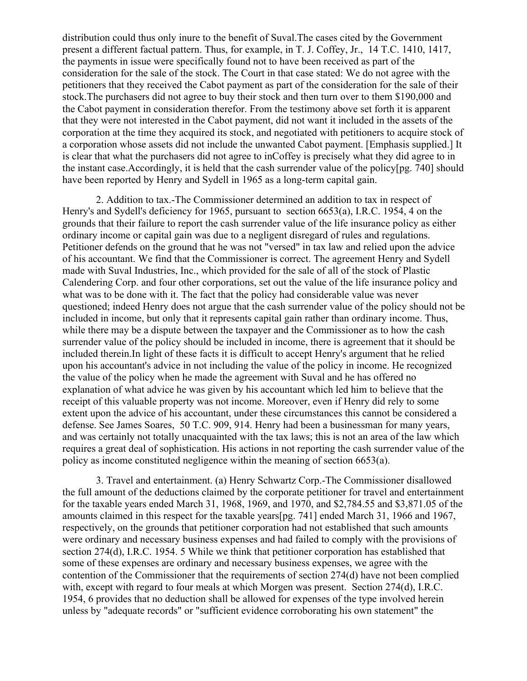distribution could thus only inure to the benefit of Suval.The cases cited by the Government present a different factual pattern. Thus, for example, in T. J. Coffey, Jr., 14 T.C. 1410, 1417, the payments in issue were specifically found not to have been received as part of the consideration for the sale of the stock. The Court in that case stated: We do not agree with the petitioners that they received the Cabot payment as part of the consideration for the sale of their stock.The purchasers did not agree to buy their stock and then turn over to them \$190,000 and the Cabot payment in consideration therefor. From the testimony above set forth it is apparent that they were not interested in the Cabot payment, did not want it included in the assets of the corporation at the time they acquired its stock, and negotiated with petitioners to acquire stock of a corporation whose assets did not include the unwanted Cabot payment. [Emphasis supplied.] It is clear that what the purchasers did not agree to inCoffey is precisely what they did agree to in the instant case.Accordingly, it is held that the cash surrender value of the policy[pg. 740] should have been reported by Henry and Sydell in 1965 as a long-term capital gain.

2. Addition to tax.-The Commissioner determined an addition to tax in respect of Henry's and Sydell's deficiency for 1965, pursuant to section 6653(a), I.R.C. 1954, 4 on the grounds that their failure to report the cash surrender value of the life insurance policy as either ordinary income or capital gain was due to a negligent disregard of rules and regulations. Petitioner defends on the ground that he was not "versed" in tax law and relied upon the advice of his accountant. We find that the Commissioner is correct. The agreement Henry and Sydell made with Suval Industries, Inc., which provided for the sale of all of the stock of Plastic Calendering Corp. and four other corporations, set out the value of the life insurance policy and what was to be done with it. The fact that the policy had considerable value was never questioned; indeed Henry does not argue that the cash surrender value of the policy should not be included in income, but only that it represents capital gain rather than ordinary income. Thus, while there may be a dispute between the taxpayer and the Commissioner as to how the cash surrender value of the policy should be included in income, there is agreement that it should be included therein.In light of these facts it is difficult to accept Henry's argument that he relied upon his accountant's advice in not including the value of the policy in income. He recognized the value of the policy when he made the agreement with Suval and he has offered no explanation of what advice he was given by his accountant which led him to believe that the receipt of this valuable property was not income. Moreover, even if Henry did rely to some extent upon the advice of his accountant, under these circumstances this cannot be considered a defense. See James Soares, 50 T.C. 909, 914. Henry had been a businessman for many years, and was certainly not totally unacquainted with the tax laws; this is not an area of the law which requires a great deal of sophistication. His actions in not reporting the cash surrender value of the policy as income constituted negligence within the meaning of section 6653(a).

3. Travel and entertainment. (a) Henry Schwartz Corp.-The Commissioner disallowed the full amount of the deductions claimed by the corporate petitioner for travel and entertainment for the taxable years ended March 31, 1968, 1969, and 1970, and \$2,784.55 and \$3,871.05 of the amounts claimed in this respect for the taxable years[pg. 741] ended March 31, 1966 and 1967, respectively, on the grounds that petitioner corporation had not established that such amounts were ordinary and necessary business expenses and had failed to comply with the provisions of section 274(d), I.R.C. 1954. 5 While we think that petitioner corporation has established that some of these expenses are ordinary and necessary business expenses, we agree with the contention of the Commissioner that the requirements of section 274(d) have not been complied with, except with regard to four meals at which Morgen was present. Section 274(d), I.R.C. 1954, 6 provides that no deduction shall be allowed for expenses of the type involved herein unless by "adequate records" or "sufficient evidence corroborating his own statement" the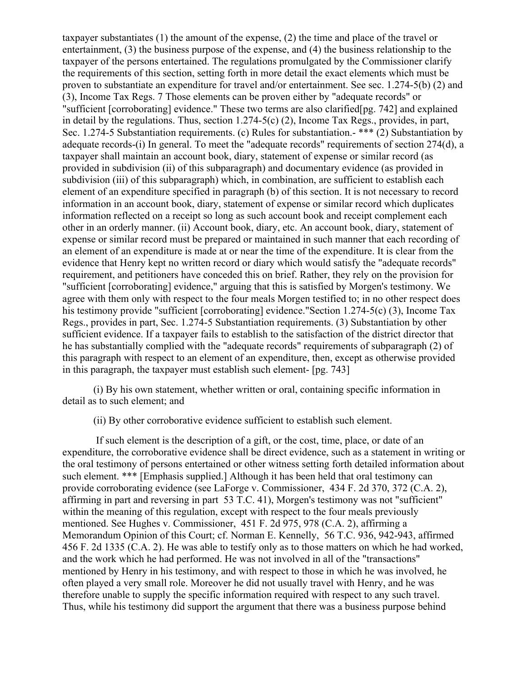taxpayer substantiates (1) the amount of the expense, (2) the time and place of the travel or entertainment, (3) the business purpose of the expense, and (4) the business relationship to the taxpayer of the persons entertained. The regulations promulgated by the Commissioner clarify the requirements of this section, setting forth in more detail the exact elements which must be proven to substantiate an expenditure for travel and/or entertainment. See sec. 1.274-5(b) (2) and (3), Income Tax Regs. 7 Those elements can be proven either by "adequate records" or "sufficient [corroborating] evidence." These two terms are also clarified[pg. 742] and explained in detail by the regulations. Thus, section 1.274-5(c) (2), Income Tax Regs., provides, in part, Sec. 1.274-5 Substantiation requirements. (c) Rules for substantiation.- \*\*\* (2) Substantiation by adequate records-(i) In general. To meet the "adequate records" requirements of section 274(d), a taxpayer shall maintain an account book, diary, statement of expense or similar record (as provided in subdivision (ii) of this subparagraph) and documentary evidence (as provided in subdivision (iii) of this subparagraph) which, in combination, are sufficient to establish each element of an expenditure specified in paragraph (b) of this section. It is not necessary to record information in an account book, diary, statement of expense or similar record which duplicates information reflected on a receipt so long as such account book and receipt complement each other in an orderly manner. (ii) Account book, diary, etc. An account book, diary, statement of expense or similar record must be prepared or maintained in such manner that each recording of an element of an expenditure is made at or near the time of the expenditure. It is clear from the evidence that Henry kept no written record or diary which would satisfy the "adequate records" requirement, and petitioners have conceded this on brief. Rather, they rely on the provision for "sufficient [corroborating] evidence," arguing that this is satisfied by Morgen's testimony. We agree with them only with respect to the four meals Morgen testified to; in no other respect does his testimony provide "sufficient [corroborating] evidence."Section 1.274-5(c) (3), Income Tax Regs., provides in part, Sec. 1.274-5 Substantiation requirements. (3) Substantiation by other sufficient evidence. If a taxpayer fails to establish to the satisfaction of the district director that he has substantially complied with the "adequate records" requirements of subparagraph (2) of this paragraph with respect to an element of an expenditure, then, except as otherwise provided in this paragraph, the taxpayer must establish such element- [pg. 743]

(i) By his own statement, whether written or oral, containing specific information in detail as to such element; and

(ii) By other corroborative evidence sufficient to establish such element.

If such element is the description of a gift, or the cost, time, place, or date of an expenditure, the corroborative evidence shall be direct evidence, such as a statement in writing or the oral testimony of persons entertained or other witness setting forth detailed information about such element. \*\*\* [Emphasis supplied.] Although it has been held that oral testimony can provide corroborating evidence (see LaForge v. Commissioner, 434 F. 2d 370, 372 (C.A. 2), affirming in part and reversing in part 53 T.C. 41), Morgen's testimony was not "sufficient" within the meaning of this regulation, except with respect to the four meals previously mentioned. See Hughes v. Commissioner, 451 F. 2d 975, 978 (C.A. 2), affirming a Memorandum Opinion of this Court; cf. Norman E. Kennelly, 56 T.C. 936, 942-943, affirmed 456 F. 2d 1335 (C.A. 2). He was able to testify only as to those matters on which he had worked, and the work which he had performed. He was not involved in all of the "transactions" mentioned by Henry in his testimony, and with respect to those in which he was involved, he often played a very small role. Moreover he did not usually travel with Henry, and he was therefore unable to supply the specific information required with respect to any such travel. Thus, while his testimony did support the argument that there was a business purpose behind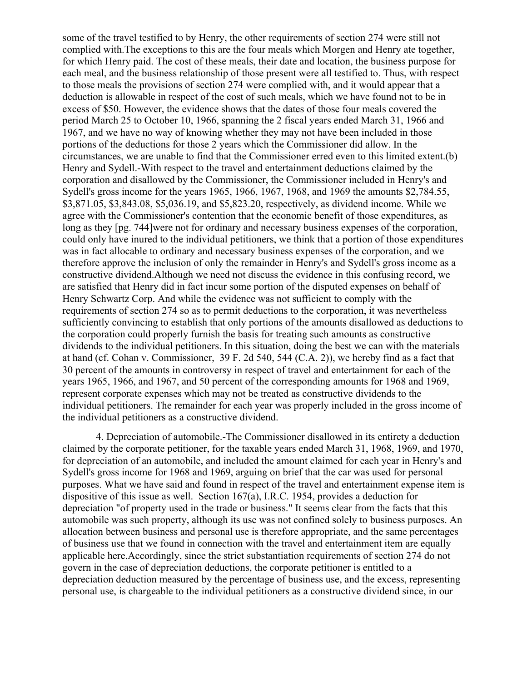some of the travel testified to by Henry, the other requirements of section 274 were still not complied with.The exceptions to this are the four meals which Morgen and Henry ate together, for which Henry paid. The cost of these meals, their date and location, the business purpose for each meal, and the business relationship of those present were all testified to. Thus, with respect to those meals the provisions of section 274 were complied with, and it would appear that a deduction is allowable in respect of the cost of such meals, which we have found not to be in excess of \$50. However, the evidence shows that the dates of those four meals covered the period March 25 to October 10, 1966, spanning the 2 fiscal years ended March 31, 1966 and 1967, and we have no way of knowing whether they may not have been included in those portions of the deductions for those 2 years which the Commissioner did allow. In the circumstances, we are unable to find that the Commissioner erred even to this limited extent.(b) Henry and Sydell.-With respect to the travel and entertainment deductions claimed by the corporation and disallowed by the Commissioner, the Commissioner included in Henry's and Sydell's gross income for the years 1965, 1966, 1967, 1968, and 1969 the amounts \$2,784.55, \$3,871.05, \$3,843.08, \$5,036.19, and \$5,823.20, respectively, as dividend income. While we agree with the Commissioner's contention that the economic benefit of those expenditures, as long as they [pg. 744]were not for ordinary and necessary business expenses of the corporation, could only have inured to the individual petitioners, we think that a portion of those expenditures was in fact allocable to ordinary and necessary business expenses of the corporation, and we therefore approve the inclusion of only the remainder in Henry's and Sydell's gross income as a constructive dividend.Although we need not discuss the evidence in this confusing record, we are satisfied that Henry did in fact incur some portion of the disputed expenses on behalf of Henry Schwartz Corp. And while the evidence was not sufficient to comply with the requirements of section 274 so as to permit deductions to the corporation, it was nevertheless sufficiently convincing to establish that only portions of the amounts disallowed as deductions to the corporation could properly furnish the basis for treating such amounts as constructive dividends to the individual petitioners. In this situation, doing the best we can with the materials at hand (cf. Cohan v. Commissioner, 39 F. 2d 540, 544 (C.A. 2)), we hereby find as a fact that 30 percent of the amounts in controversy in respect of travel and entertainment for each of the years 1965, 1966, and 1967, and 50 percent of the corresponding amounts for 1968 and 1969, represent corporate expenses which may not be treated as constructive dividends to the individual petitioners. The remainder for each year was properly included in the gross income of the individual petitioners as a constructive dividend.

4. Depreciation of automobile.-The Commissioner disallowed in its entirety a deduction claimed by the corporate petitioner, for the taxable years ended March 31, 1968, 1969, and 1970, for depreciation of an automobile, and included the amount claimed for each year in Henry's and Sydell's gross income for 1968 and 1969, arguing on brief that the car was used for personal purposes. What we have said and found in respect of the travel and entertainment expense item is dispositive of this issue as well. Section 167(a), I.R.C. 1954, provides a deduction for depreciation "of property used in the trade or business." It seems clear from the facts that this automobile was such property, although its use was not confined solely to business purposes. An allocation between business and personal use is therefore appropriate, and the same percentages of business use that we found in connection with the travel and entertainment item are equally applicable here.Accordingly, since the strict substantiation requirements of section 274 do not govern in the case of depreciation deductions, the corporate petitioner is entitled to a depreciation deduction measured by the percentage of business use, and the excess, representing personal use, is chargeable to the individual petitioners as a constructive dividend since, in our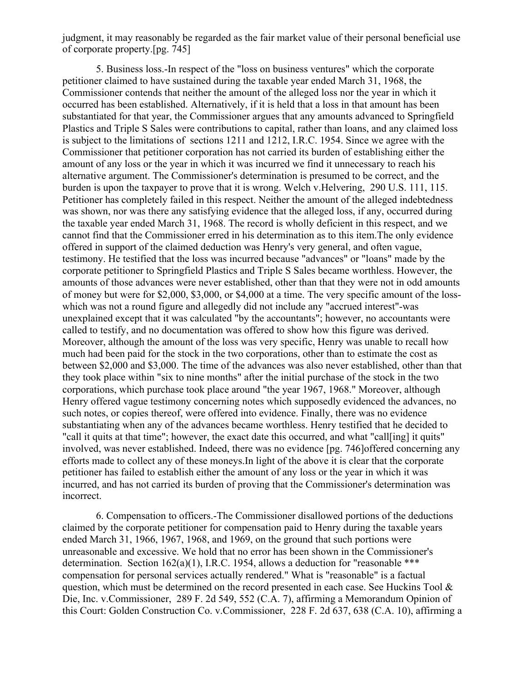judgment, it may reasonably be regarded as the fair market value of their personal beneficial use of corporate property.[pg. 745]

5. Business loss.-In respect of the "loss on business ventures" which the corporate petitioner claimed to have sustained during the taxable year ended March 31, 1968, the Commissioner contends that neither the amount of the alleged loss nor the year in which it occurred has been established. Alternatively, if it is held that a loss in that amount has been substantiated for that year, the Commissioner argues that any amounts advanced to Springfield Plastics and Triple S Sales were contributions to capital, rather than loans, and any claimed loss is subject to the limitations of sections 1211 and 1212, I.R.C. 1954. Since we agree with the Commissioner that petitioner corporation has not carried its burden of establishing either the amount of any loss or the year in which it was incurred we find it unnecessary to reach his alternative argument. The Commissioner's determination is presumed to be correct, and the burden is upon the taxpayer to prove that it is wrong. Welch v.Helvering, 290 U.S. 111, 115. Petitioner has completely failed in this respect. Neither the amount of the alleged indebtedness was shown, nor was there any satisfying evidence that the alleged loss, if any, occurred during the taxable year ended March 31, 1968. The record is wholly deficient in this respect, and we cannot find that the Commissioner erred in his determination as to this item.The only evidence offered in support of the claimed deduction was Henry's very general, and often vague, testimony. He testified that the loss was incurred because "advances" or "loans" made by the corporate petitioner to Springfield Plastics and Triple S Sales became worthless. However, the amounts of those advances were never established, other than that they were not in odd amounts of money but were for \$2,000, \$3,000, or \$4,000 at a time. The very specific amount of the losswhich was not a round figure and allegedly did not include any "accrued interest"-was unexplained except that it was calculated "by the accountants"; however, no accountants were called to testify, and no documentation was offered to show how this figure was derived. Moreover, although the amount of the loss was very specific, Henry was unable to recall how much had been paid for the stock in the two corporations, other than to estimate the cost as between \$2,000 and \$3,000. The time of the advances was also never established, other than that they took place within "six to nine months" after the initial purchase of the stock in the two corporations, which purchase took place around "the year 1967, 1968." Moreover, although Henry offered vague testimony concerning notes which supposedly evidenced the advances, no such notes, or copies thereof, were offered into evidence. Finally, there was no evidence substantiating when any of the advances became worthless. Henry testified that he decided to "call it quits at that time"; however, the exact date this occurred, and what "call[ing] it quits" involved, was never established. Indeed, there was no evidence [pg. 746]offered concerning any efforts made to collect any of these moneys.In light of the above it is clear that the corporate petitioner has failed to establish either the amount of any loss or the year in which it was incurred, and has not carried its burden of proving that the Commissioner's determination was incorrect.

6. Compensation to officers.-The Commissioner disallowed portions of the deductions claimed by the corporate petitioner for compensation paid to Henry during the taxable years ended March 31, 1966, 1967, 1968, and 1969, on the ground that such portions were unreasonable and excessive. We hold that no error has been shown in the Commissioner's determination. Section  $162(a)(1)$ , I.R.C. 1954, allows a deduction for "reasonable \*\*\* compensation for personal services actually rendered." What is "reasonable" is a factual question, which must be determined on the record presented in each case. See Huckins Tool  $\&$ Die, Inc. v.Commissioner, 289 F. 2d 549, 552 (C.A. 7), affirming a Memorandum Opinion of this Court: Golden Construction Co. v.Commissioner, 228 F. 2d 637, 638 (C.A. 10), affirming a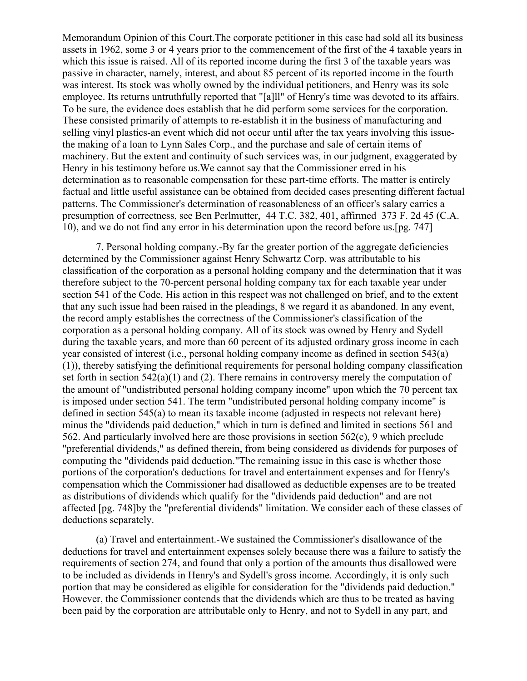Memorandum Opinion of this Court.The corporate petitioner in this case had sold all its business assets in 1962, some 3 or 4 years prior to the commencement of the first of the 4 taxable years in which this issue is raised. All of its reported income during the first 3 of the taxable years was passive in character, namely, interest, and about 85 percent of its reported income in the fourth was interest. Its stock was wholly owned by the individual petitioners, and Henry was its sole employee. Its returns untruthfully reported that "[a]ll" of Henry's time was devoted to its affairs. To be sure, the evidence does establish that he did perform some services for the corporation. These consisted primarily of attempts to re-establish it in the business of manufacturing and selling vinyl plastics-an event which did not occur until after the tax years involving this issuethe making of a loan to Lynn Sales Corp., and the purchase and sale of certain items of machinery. But the extent and continuity of such services was, in our judgment, exaggerated by Henry in his testimony before us.We cannot say that the Commissioner erred in his determination as to reasonable compensation for these part-time efforts. The matter is entirely factual and little useful assistance can be obtained from decided cases presenting different factual patterns. The Commissioner's determination of reasonableness of an officer's salary carries a presumption of correctness, see Ben Perlmutter, 44 T.C. 382, 401, affirmed 373 F. 2d 45 (C.A. 10), and we do not find any error in his determination upon the record before us.[pg. 747]

7. Personal holding company.-By far the greater portion of the aggregate deficiencies determined by the Commissioner against Henry Schwartz Corp. was attributable to his classification of the corporation as a personal holding company and the determination that it was therefore subject to the 70-percent personal holding company tax for each taxable year under section 541 of the Code. His action in this respect was not challenged on brief, and to the extent that any such issue had been raised in the pleadings, 8 we regard it as abandoned. In any event, the record amply establishes the correctness of the Commissioner's classification of the corporation as a personal holding company. All of its stock was owned by Henry and Sydell during the taxable years, and more than 60 percent of its adjusted ordinary gross income in each year consisted of interest (i.e., personal holding company income as defined in section 543(a) (1)), thereby satisfying the definitional requirements for personal holding company classification set forth in section  $542(a)(1)$  and (2). There remains in controversy merely the computation of the amount of "undistributed personal holding company income" upon which the 70 percent tax is imposed under section 541. The term "undistributed personal holding company income" is defined in section 545(a) to mean its taxable income (adjusted in respects not relevant here) minus the "dividends paid deduction," which in turn is defined and limited in sections 561 and 562. And particularly involved here are those provisions in section 562(c), 9 which preclude "preferential dividends," as defined therein, from being considered as dividends for purposes of computing the "dividends paid deduction."The remaining issue in this case is whether those portions of the corporation's deductions for travel and entertainment expenses and for Henry's compensation which the Commissioner had disallowed as deductible expenses are to be treated as distributions of dividends which qualify for the "dividends paid deduction" and are not affected [pg. 748]by the "preferential dividends" limitation. We consider each of these classes of deductions separately.

(a) Travel and entertainment.-We sustained the Commissioner's disallowance of the deductions for travel and entertainment expenses solely because there was a failure to satisfy the requirements of section 274, and found that only a portion of the amounts thus disallowed were to be included as dividends in Henry's and Sydell's gross income. Accordingly, it is only such portion that may be considered as eligible for consideration for the "dividends paid deduction." However, the Commissioner contends that the dividends which are thus to be treated as having been paid by the corporation are attributable only to Henry, and not to Sydell in any part, and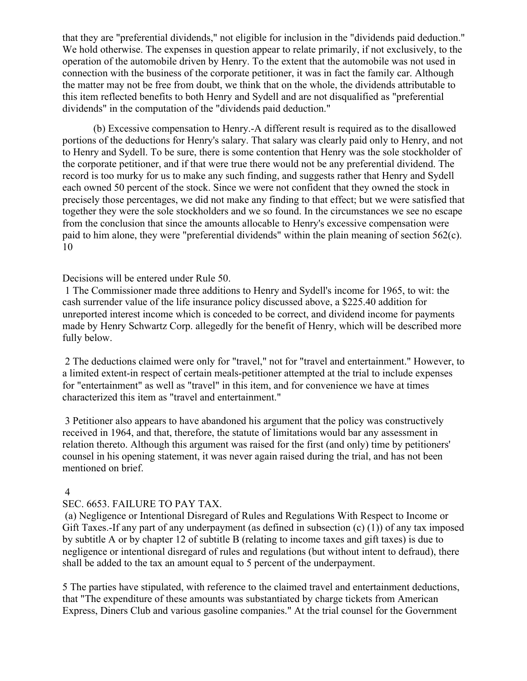that they are "preferential dividends," not eligible for inclusion in the "dividends paid deduction." We hold otherwise. The expenses in question appear to relate primarily, if not exclusively, to the operation of the automobile driven by Henry. To the extent that the automobile was not used in connection with the business of the corporate petitioner, it was in fact the family car. Although the matter may not be free from doubt, we think that on the whole, the dividends attributable to this item reflected benefits to both Henry and Sydell and are not disqualified as "preferential dividends" in the computation of the "dividends paid deduction."

(b) Excessive compensation to Henry.-A different result is required as to the disallowed portions of the deductions for Henry's salary. That salary was clearly paid only to Henry, and not to Henry and Sydell. To be sure, there is some contention that Henry was the sole stockholder of the corporate petitioner, and if that were true there would not be any preferential dividend. The record is too murky for us to make any such finding, and suggests rather that Henry and Sydell each owned 50 percent of the stock. Since we were not confident that they owned the stock in precisely those percentages, we did not make any finding to that effect; but we were satisfied that together they were the sole stockholders and we so found. In the circumstances we see no escape from the conclusion that since the amounts allocable to Henry's excessive compensation were paid to him alone, they were "preferential dividends" within the plain meaning of section 562(c). 10

# Decisions will be entered under Rule 50.

1 The Commissioner made three additions to Henry and Sydell's income for 1965, to wit: the cash surrender value of the life insurance policy discussed above, a \$225.40 addition for unreported interest income which is conceded to be correct, and dividend income for payments made by Henry Schwartz Corp. allegedly for the benefit of Henry, which will be described more fully below.

2 The deductions claimed were only for "travel," not for "travel and entertainment." However, to a limited extent-in respect of certain meals-petitioner attempted at the trial to include expenses for "entertainment" as well as "travel" in this item, and for convenience we have at times characterized this item as "travel and entertainment."

3 Petitioner also appears to have abandoned his argument that the policy was constructively received in 1964, and that, therefore, the statute of limitations would bar any assessment in relation thereto. Although this argument was raised for the first (and only) time by petitioners' counsel in his opening statement, it was never again raised during the trial, and has not been mentioned on brief.

### 4

### SEC. 6653. FAILURE TO PAY TAX.

(a) Negligence or Intentional Disregard of Rules and Regulations With Respect to Income or Gift Taxes.-If any part of any underpayment (as defined in subsection (c) (1)) of any tax imposed by subtitle A or by chapter 12 of subtitle B (relating to income taxes and gift taxes) is due to negligence or intentional disregard of rules and regulations (but without intent to defraud), there shall be added to the tax an amount equal to 5 percent of the underpayment.

5 The parties have stipulated, with reference to the claimed travel and entertainment deductions, that "The expenditure of these amounts was substantiated by charge tickets from American Express, Diners Club and various gasoline companies." At the trial counsel for the Government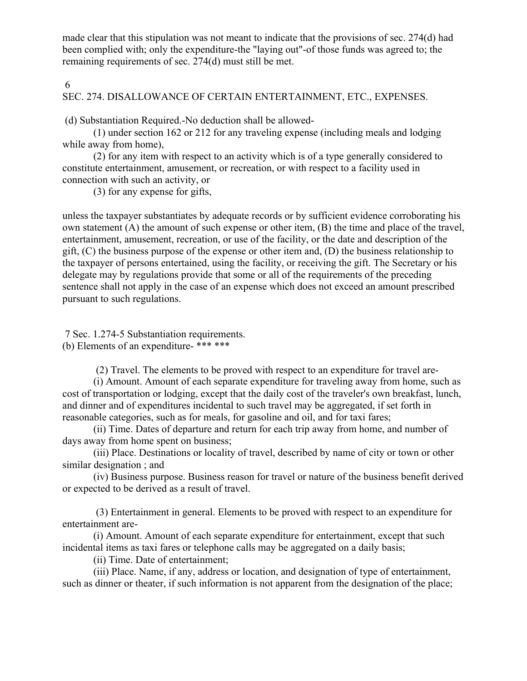made clear that this stipulation was not meant to indicate that the provisions of sec. 274(d) had been complied with; only the expenditure-the "laying out"-of those funds was agreed to; the remaining requirements of sec. 274(d) must still be met.

6

# SEC. 274. DISALLOWANCE OF CERTAIN ENTERTAINMENT, ETC., EXPENSES.

(d) Substantiation Required.-No deduction shall be allowed-

(1) under section 162 or 212 for any traveling expense (including meals and lodging while away from home),

(2) for any item with respect to an activity which is of a type generally considered to constitute entertainment, amusement, or recreation, or with respect to a facility used in connection with such an activity, or

(3) for any expense for gifts,

unless the taxpayer substantiates by adequate records or by sufficient evidence corroborating his own statement (A) the amount of such expense or other item, (B) the time and place of the travel, entertainment, amusement, recreation, or use of the facility, or the date and description of the gift, (C) the business purpose of the expense or other item and, (D) the business relationship to the taxpayer of persons entertained, using the facility, or receiving the gift. The Secretary or his delegate may by regulations provide that some or all of the requirements of the preceding sentence shall not apply in the case of an expense which does not exceed an amount prescribed pursuant to such regulations.

7 Sec. 1.274-5 Substantiation requirements. (b) Elements of an expenditure- \*\*\* \*\*\*

(2) Travel. The elements to be proved with respect to an expenditure for travel are-

(i) Amount. Amount of each separate expenditure for traveling away from home, such as cost of transportation or lodging, except that the daily cost of the traveler's own breakfast, lunch, and dinner and of expenditures incidental to such travel may be aggregated, if set forth in reasonable categories, such as for meals, for gasoline and oil, and for taxi fares;

(ii) Time. Dates of departure and return for each trip away from home, and number of days away from home spent on business;

(iii) Place. Destinations or locality of travel, described by name of city or town or other similar designation ; and

(iv) Business purpose. Business reason for travel or nature of the business benefit derived or expected to be derived as a result of travel.

(3) Entertainment in general. Elements to be proved with respect to an expenditure for entertainment are-

(i) Amount. Amount of each separate expenditure for entertainment, except that such incidental items as taxi fares or telephone calls may be aggregated on a daily basis;

(ii) Time. Date of entertainment;

(iii) Place. Name, if any, address or location, and designation of type of entertainment, such as dinner or theater, if such information is not apparent from the designation of the place;